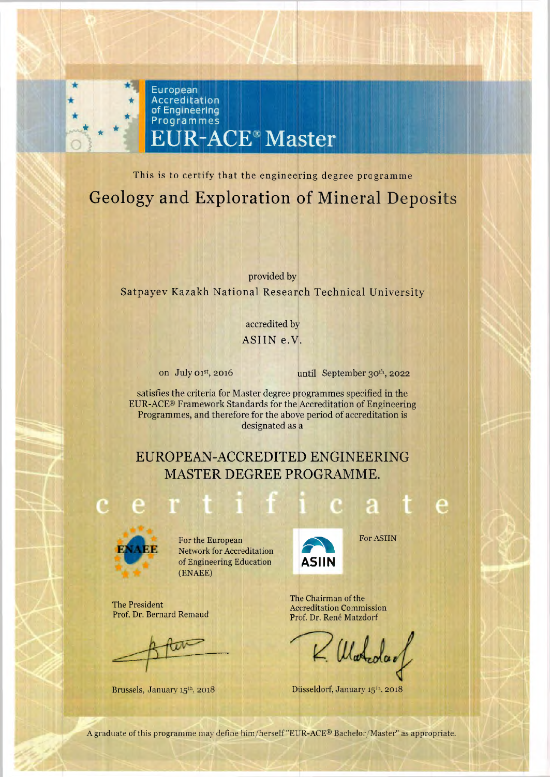

This is to certify that the engineering degree programme Geology and Exploration of Mineral Deposits

provided by Satpayev Kazakh National Research Technical University

> accredited by ASIIN e.V.

on July 01st, 2016

until September 30th, 2022

satisfies the criteria for Master degree programmes specified in the EUR-ACE® Framework Standards for the Accreditation of Engineering Programmes, and therefore for the above period of accreditation is designated as a

## EUROPEAN-ACCREDITED ENGINEERING MASTER DEGREE PROGRAMME.



For the European Network for Accreditation of Engineering Education (ENAEE)

The President Prof. Dr. Bernard Remaud

 $\sqrt{11}$ 

Brussels, January 15th, 2018



For ASIIN

The Chairman of the **Accreditation Commission** Prof. Dr. Rene Matzdorf

Mateda

Düsseldorf, January 15th, 2018

A graduate of this programme may define him/herself "EUR-ACE® Bachelor/Master" as appropriate.